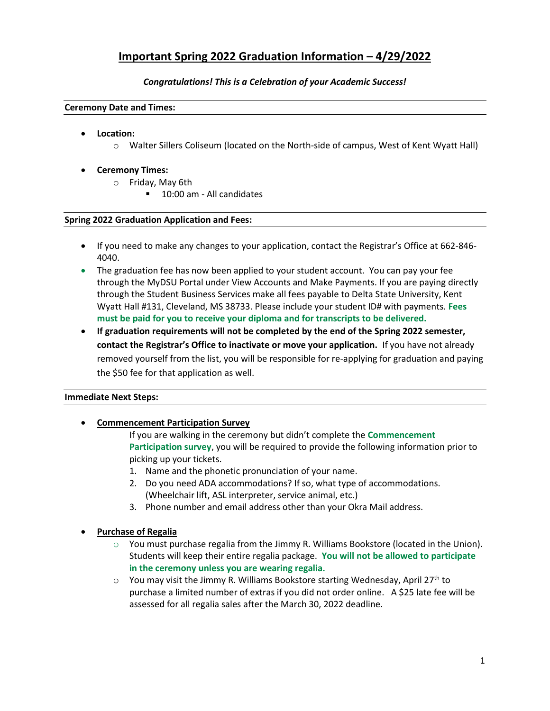# **Important Spring 2022 Graduation Information – 4/29/2022**

# *Congratulations! This is a Celebration of your Academic Success!*

#### **Ceremony Date and Times:**

- **Location:**
	- o Walter Sillers Coliseum (located on the North-side of campus, West of Kent Wyatt Hall)

# • **Ceremony Times:**

- o Friday, May 6th
	- 10:00 am All candidates

# **Spring 2022 Graduation Application and Fees:**

- If you need to make any changes to your application, contact the Registrar's Office at 662-846- 4040.
- The graduation fee has now been applied to your student account. You can pay your fee through the MyDSU Portal under View Accounts and Make Payments. If you are paying directly through the Student Business Services make all fees payable to Delta State University, Kent Wyatt Hall #131, Cleveland, MS 38733. Please include your student ID# with payments. **Fees must be paid for you to receive your diploma and for transcripts to be delivered.**
- **If graduation requirements will not be completed by the end of the Spring 2022 semester, contact the Registrar's Office to inactivate or move your application.** If you have not already removed yourself from the list, you will be responsible for re-applying for graduation and paying the \$50 fee for that application as well.

# **Immediate Next Steps:**

# • **Commencement Participation Survey**

If you are walking in the ceremony but didn't complete the **Commencement Participation survey**, you will be required to provide the following information prior to picking up your tickets.

- 1. Name and the phonetic pronunciation of your name.
- 2. Do you need ADA accommodations? If so, what type of accommodations. (Wheelchair lift, ASL interpreter, service animal, etc.)
- 3. Phone number and email address other than your Okra Mail address.

# • **Purchase of Regalia**

- $\circ$  You must purchase regalia from the Jimmy R. Williams Bookstore (located in the Union). Students will keep their entire regalia package. **You will not be allowed to participate in the ceremony unless you are wearing regalia.**
- You may visit the Jimmy R. Williams Bookstore starting Wednesday, April 27<sup>th</sup> to purchase a limited number of extras if you did not order online. A \$25 late fee will be assessed for all regalia sales after the March 30, 2022 deadline.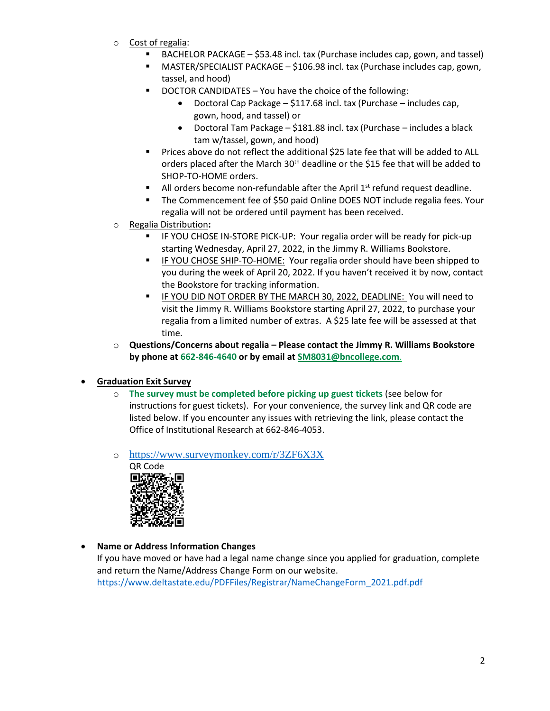- o Cost of regalia:
	- BACHELOR PACKAGE \$53.48 incl. tax (Purchase includes cap, gown, and tassel)
	- $MASTER/SPECIALIST PACKAGE $106.98$  incl. tax (Purchase includes cap, gown, tassel, and hood)
	- DOCTOR CANDIDATES You have the choice of the following:
		- Doctoral Cap Package \$117.68 incl. tax (Purchase includes cap, gown, hood, and tassel) or
		- Doctoral Tam Package \$181.88 incl. tax (Purchase includes a black tam w/tassel, gown, and hood)
	- Prices above do not reflect the additional \$25 late fee that will be added to ALL orders placed after the March 30<sup>th</sup> deadline or the \$15 fee that will be added to SHOP-TO-HOME orders.
	- **E** All orders become non-refundable after the April  $1<sup>st</sup>$  refund request deadline.
	- The Commencement fee of \$50 paid Online DOES NOT include regalia fees. Your regalia will not be ordered until payment has been received.
- o Regalia Distribution**:**
	- IF YOU CHOSE IN-STORE PICK-UP: Your regalia order will be ready for pick-up starting Wednesday, April 27, 2022, in the Jimmy R. Williams Bookstore.
	- IF YOU CHOSE SHIP-TO-HOME: Your regalia order should have been shipped to you during the week of April 20, 2022. If you haven't received it by now, contact the Bookstore for tracking information.
	- IF YOU DID NOT ORDER BY THE MARCH 30, 2022, DEADLINE: You will need to visit the Jimmy R. Williams Bookstore starting April 27, 2022, to purchase your regalia from a limited number of extras. A \$25 late fee will be assessed at that time.
- o **Questions/Concerns about regalia – Please contact the Jimmy R. Williams Bookstore by phone at [662-846-4640](tel:662-325-1576) or by email at [SM8031@bncollege.com](mailto:SM8031@bncollege.com)**.

# • **Graduation Exit Survey**

- o **The survey must be completed before picking up guest tickets** (see below for instructions for guest tickets). For your convenience, the survey link and QR code are listed below. If you encounter any issues with retrieving the link, please contact the Office of Institutional Research at 662-846-4053.
- o [https://www.surveymonkey.com/r/3ZF6X3X](https://nam12.safelinks.protection.outlook.com/?url=https%3A%2F%2Fwww.surveymonkey.com%2Fr%2F3ZF6X3X&data=04%7C01%7Cedabney%40deltastate.edu%7C222b11a883b24b592b5f08d9fc9fb97b%7Ceba10250257b4cb99814bb2167b4d99d%7C0%7C0%7C637818585263437715%7CUnknown%7CTWFpbGZsb3d8eyJWIjoiMC4wLjAwMDAiLCJQIjoiV2luMzIiLCJBTiI6Ik1haWwiLCJXVCI6Mn0%3D%7C3000&sdata=sCRplkah97NGFWqZnqkQWYkZxM1afHiWDO3LsfOoMlk%3D&reserved=0)



• **Name or Address Information Changes**

If you have moved or have had a legal name change since you applied for graduation, complete and return the Name/Address Change Form on our website. [https://www.deltastate.edu/PDFFiles/Registrar/NameChangeForm\\_2021.pdf.pdf](https://www.deltastate.edu/PDFFiles/Registrar/NameChangeForm_2021.pdf.pdf)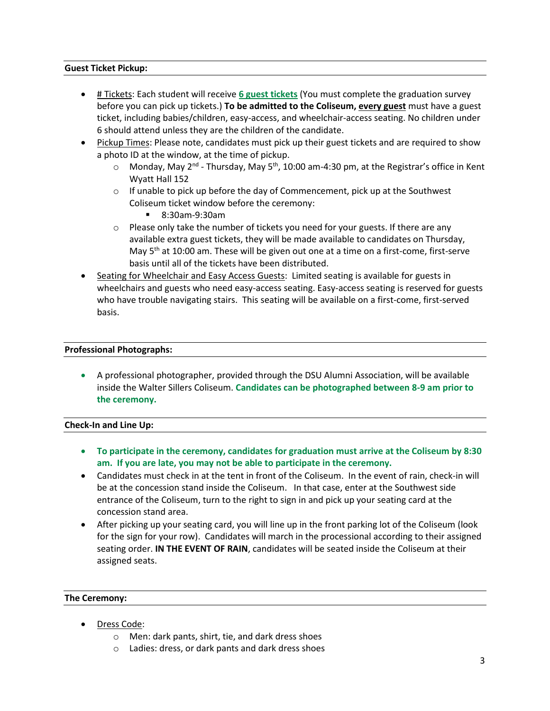### **Guest Ticket Pickup:**

- # Tickets: Each student will receive **6 guest tickets** (You must complete the graduation survey before you can pick up tickets.) **To be admitted to the Coliseum, every guest** must have a guest ticket, including babies/children, easy-access, and wheelchair-access seating. No children under 6 should attend unless they are the children of the candidate.
- Pickup Times: Please note, candidates must pick up their guest tickets and are required to show a photo ID at the window, at the time of pickup.
	- $\circ$  Monday, May 2<sup>nd</sup> Thursday, May 5<sup>th</sup>, 10:00 am-4:30 pm, at the Registrar's office in Kent Wyatt Hall 152
	- $\circ$  If unable to pick up before the day of Commencement, pick up at the Southwest Coliseum ticket window before the ceremony:
		- 8:30am-9:30am
	- o Please only take the number of tickets you need for your guests. If there are any available extra guest tickets, they will be made available to candidates on Thursday, May  $5<sup>th</sup>$  at 10:00 am. These will be given out one at a time on a first-come, first-serve basis until all of the tickets have been distributed.
- Seating for Wheelchair and Easy Access Guests: Limited seating is available for guests in wheelchairs and guests who need easy-access seating. Easy-access seating is reserved for guests who have trouble navigating stairs. This seating will be available on a first-come, first-served basis.

#### **Professional Photographs:**

• A professional photographer, provided through the DSU Alumni Association, will be available inside the Walter Sillers Coliseum. **Candidates can be photographed between 8-9 am prior to the ceremony.**

#### **Check-In and Line Up:**

- **To participate in the ceremony, candidates for graduation must arrive at the Coliseum by 8:30 am. If you are late, you may not be able to participate in the ceremony.**
- Candidates must check in at the tent in front of the Coliseum. In the event of rain, check-in will be at the concession stand inside the Coliseum. In that case, enter at the Southwest side entrance of the Coliseum, turn to the right to sign in and pick up your seating card at the concession stand area.
- After picking up your seating card, you will line up in the front parking lot of the Coliseum (look for the sign for your row). Candidates will march in the processional according to their assigned seating order. **IN THE EVENT OF RAIN**, candidates will be seated inside the Coliseum at their assigned seats.

#### **The Ceremony:**

- Dress Code:
	- o Men: dark pants, shirt, tie, and dark dress shoes
	- o Ladies: dress, or dark pants and dark dress shoes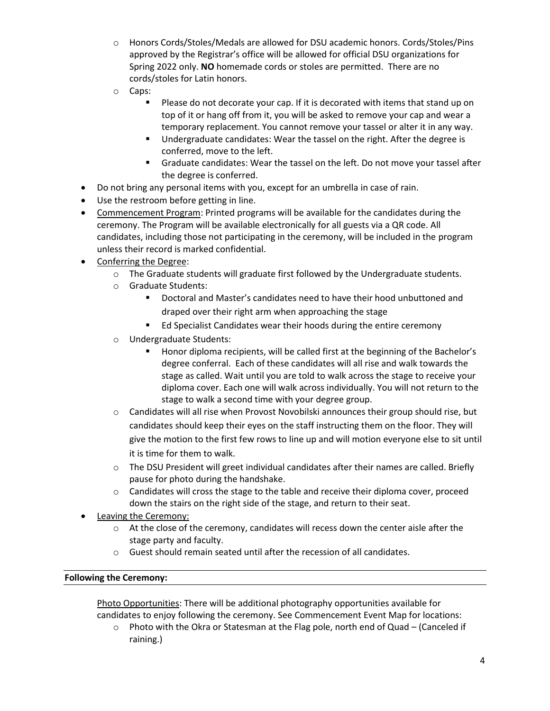- o Honors Cords/Stoles/Medals are allowed for DSU academic honors. Cords/Stoles/Pins approved by the Registrar's office will be allowed for official DSU organizations for Spring 2022 only. **NO** homemade cords or stoles are permitted. There are no cords/stoles for Latin honors.
- o Caps:
	- Please do not decorate your cap. If it is decorated with items that stand up on top of it or hang off from it, you will be asked to remove your cap and wear a temporary replacement. You cannot remove your tassel or alter it in any way.
	- Undergraduate candidates: Wear the tassel on the right. After the degree is conferred, move to the left.
	- Graduate candidates: Wear the tassel on the left. Do not move your tassel after the degree is conferred.
- Do not bring any personal items with you, except for an umbrella in case of rain.
- Use the restroom before getting in line.
- Commencement Program: Printed programs will be available for the candidates during the ceremony. The Program will be available electronically for all guests via a QR code. All candidates, including those not participating in the ceremony, will be included in the program unless their record is marked confidential.
- Conferring the Degree:
	- $\circ$  The Graduate students will graduate first followed by the Undergraduate students.
	- o Graduate Students:
		- Doctoral and Master's candidates need to have their hood unbuttoned and draped over their right arm when approaching the stage
		- Ed Specialist Candidates wear their hoods during the entire ceremony
	- o Undergraduate Students:
		- Honor diploma recipients, will be called first at the beginning of the Bachelor's degree conferral. Each of these candidates will all rise and walk towards the stage as called. Wait until you are told to walk across the stage to receive your diploma cover. Each one will walk across individually. You will not return to the stage to walk a second time with your degree group.
	- $\circ$  Candidates will all rise when Provost Novobilski announces their group should rise, but candidates should keep their eyes on the staff instructing them on the floor. They will give the motion to the first few rows to line up and will motion everyone else to sit until it is time for them to walk.
	- o The DSU President will greet individual candidates after their names are called. Briefly pause for photo during the handshake.
	- $\circ$  Candidates will cross the stage to the table and receive their diploma cover, proceed down the stairs on the right side of the stage, and return to their seat.
- Leaving the Ceremony:
	- $\circ$  At the close of the ceremony, candidates will recess down the center aisle after the stage party and faculty.
	- $\circ$  Guest should remain seated until after the recession of all candidates.

# **Following the Ceremony:**

Photo Opportunities: There will be additional photography opportunities available for candidates to enjoy following the ceremony. See Commencement Event Map for locations:

 $\circ$  Photo with the Okra or Statesman at the Flag pole, north end of Quad – (Canceled if raining.)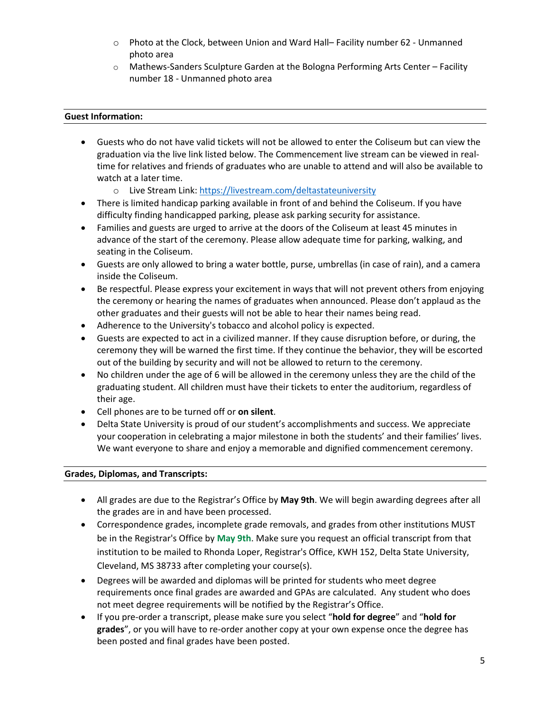- o Photo at the Clock, between Union and Ward Hall– Facility number 62 Unmanned photo area
- o Mathews-Sanders Sculpture Garden at the Bologna Performing Arts Center Facility number 18 - Unmanned photo area

# **Guest Information:**

- Guests who do not have valid tickets will not be allowed to enter the Coliseum but can view the graduation via the live link listed below. The Commencement live stream can be viewed in realtime for relatives and friends of graduates who are unable to attend and will also be available to watch at a later time.
	- o Live Stream Link: [https://livestream.com/deltastateuniversity](https://nam12.safelinks.protection.outlook.com/?url=https%3A%2F%2Flivestream.com%2Fdeltastateuniversity&data=04%7C01%7Crloper%40deltastate.edu%7C5005869188b5474bffcd08d904e1fbae%7Ceba10250257b4cb99814bb2167b4d99d%7C0%7C0%7C637546190892985307%7CUnknown%7CTWFpbGZsb3d8eyJWIjoiMC4wLjAwMDAiLCJQIjoiV2luMzIiLCJBTiI6Ik1haWwiLCJXVCI6Mn0%3D%7C1000&sdata=IMsY6DjR3MRB6kI6OJGmUh9mEvdR8k7Bk1bLT5HpDN8%3D&reserved=0)
- There is limited handicap parking available in front of and behind the Coliseum. If you have difficulty finding handicapped parking, please ask parking security for assistance.
- Families and guests are urged to arrive at the doors of the Coliseum at least 45 minutes in advance of the start of the ceremony. Please allow adequate time for parking, walking, and seating in the Coliseum.
- Guests are only allowed to bring a water bottle, purse, umbrellas (in case of rain), and a camera inside the Coliseum.
- Be respectful. Please express your excitement in ways that will not prevent others from enjoying the ceremony or hearing the names of graduates when announced. Please don't applaud as the other graduates and their guests will not be able to hear their names being read.
- Adherence to the University's tobacco and alcohol policy is expected.
- Guests are expected to act in a civilized manner. If they cause disruption before, or during, the ceremony they will be warned the first time. If they continue the behavior, they will be escorted out of the building by security and will not be allowed to return to the ceremony.
- No children under the age of 6 will be allowed in the ceremony unless they are the child of the graduating student. All children must have their tickets to enter the auditorium, regardless of their age.
- Cell phones are to be turned off or **on silent**.
- Delta State University is proud of our student's accomplishments and success. We appreciate your cooperation in celebrating a major milestone in both the students' and their families' lives. We want everyone to share and enjoy a memorable and dignified commencement ceremony.

# **Grades, Diplomas, and Transcripts:**

- All grades are due to the Registrar's Office by **May 9th**. We will begin awarding degrees after all the grades are in and have been processed.
- Correspondence grades, incomplete grade removals, and grades from other institutions MUST be in the Registrar's Office by **May 9th**. Make sure you request an official transcript from that institution to be mailed to Rhonda Loper, Registrar's Office, KWH 152, Delta State University, Cleveland, MS 38733 after completing your course(s).
- Degrees will be awarded and diplomas will be printed for students who meet degree requirements once final grades are awarded and GPAs are calculated. Any student who does not meet degree requirements will be notified by the Registrar's Office.
- If you pre-order a transcript, please make sure you select "**hold for degree**" and "**hold for grades**", or you will have to re-order another copy at your own expense once the degree has been posted and final grades have been posted.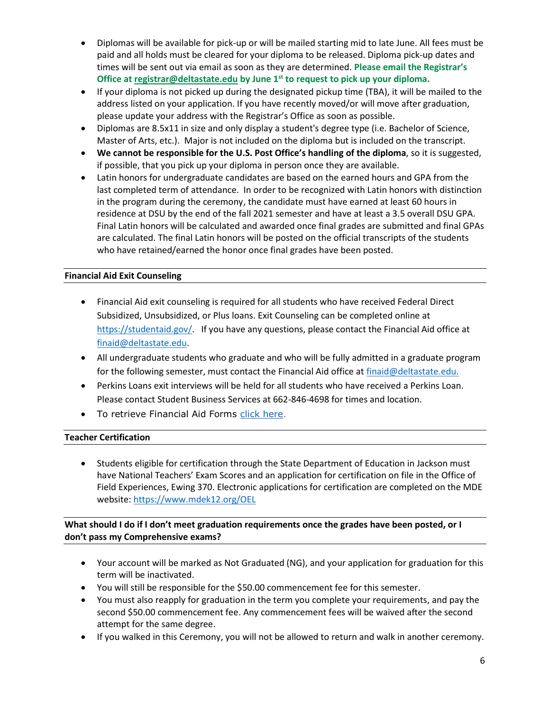- Diplomas will be available for pick-up or will be mailed starting mid to late June. All fees must be paid and all holds must be cleared for your diploma to be released. Diploma pick-up dates and times will be sent out via email as soon as they are determined. **Please email the Registrar's Office a[t registrar@deltastate.edu](mailto:registrar@deltastate.edu) by June 1st to request to pick up your diploma.**
- If your diploma is not picked up during the designated pickup time (TBA), it will be mailed to the address listed on your application. If you have recently moved/or will move after graduation, please update your address with the Registrar's Office as soon as possible.
- Diplomas are 8.5x11 in size and only display a student's degree type (i.e. Bachelor of Science, Master of Arts, etc.). Major is not included on the diploma but is included on the transcript.
- **We cannot be responsible for the U.S. Post Office's handling of the diploma**, so it is suggested, if possible, that you pick up your diploma in person once they are available.
- Latin honors for undergraduate candidates are based on the earned hours and GPA from the last completed term of attendance. In order to be recognized with Latin honors with distinction in the program during the ceremony, the candidate must have earned at least 60 hours in residence at DSU by the end of the fall 2021 semester and have at least a 3.5 overall DSU GPA. Final Latin honors will be calculated and awarded once final grades are submitted and final GPAs are calculated. The final Latin honors will be posted on the official transcripts of the students who have retained/earned the honor once final grades have been posted.

# **Financial Aid Exit Counseling**

- Financial Aid exit counseling is required for all students who have received Federal Direct Subsidized, Unsubsidized, or Plus loans. Exit Counseling can be completed online at [https://studentaid.gov/.](https://studentaid.gov/) If you have any questions, please contact the Financial Aid office at [finaid@deltastate.edu.](mailto:finaid@deltastate.edu)
- All undergraduate students who graduate and who will be fully admitted in a graduate program for the following semester, must contact the Financial Aid office at [finaid@deltastate.edu.](mailto:finaid@deltastate.edu)
- Perkins Loans exit interviews will be held for all students who have received a Perkins Loan. Please contact Student Business Services at 662-846-4698 for times and location.
- To retrieve Financial Aid Forms [click here.](https://nam12.safelinks.protection.outlook.com/?url=https%3A%2F%2Fwww.deltastate.edu%2Fstudent-affairs%2Ffinancial-aid%2Ffinancial-aid-forms%2F&data=04%7C01%7Crloper%40deltastate.edu%7C7902c800bbbc471edffc08da068bc908%7Ceba10250257b4cb99814bb2167b4d99d%7C0%7C0%7C637829494687258923%7CUnknown%7CTWFpbGZsb3d8eyJWIjoiMC4wLjAwMDAiLCJQIjoiV2luMzIiLCJBTiI6Ik1haWwiLCJXVCI6Mn0%3D%7C3000&sdata=sYcPO39JfDgzMvf8DNecWyacpIVO6hxtL7Q9gVmpX1E%3D&reserved=0)

# **Teacher Certification**

• Students eligible for certification through the State Department of Education in Jackson must have National Teachers' Exam Scores and an application for certification on file in the Office of Field Experiences, Ewing 370. Electronic applications for certification are completed on the MDE website[: https://www.mdek12.org/OEL](https://www.mdek12.org/OEL)

# **What should I do if I don't meet graduation requirements once the grades have been posted, or I don't pass my Comprehensive exams?**

- Your account will be marked as Not Graduated (NG), and your application for graduation for this term will be inactivated.
- You will still be responsible for the \$50.00 commencement fee for this semester.
- You must also reapply for graduation in the term you complete your requirements, and pay the second \$50.00 commencement fee. Any commencement fees will be waived after the second attempt for the same degree.
- If you walked in this Ceremony, you will not be allowed to return and walk in another ceremony.